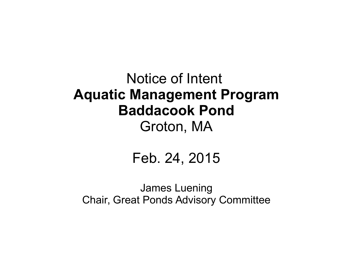#### Notice of Intent **Aquatic Management Program Baddacook Pond** Groton, MA

#### Feb. 24, 2015

James Luening Chair, Great Ponds Advisory Committee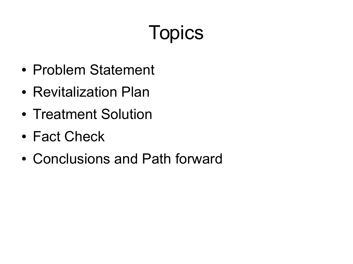# **Topics**

- Problem Statement
- Revitalization Plan
- Treatment Solution
- Fact Check
- Conclusions and Path forward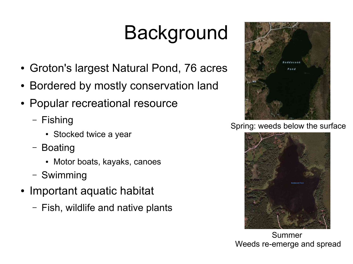# **Background**

- Groton's largest Natural Pond, 76 acres
- Bordered by mostly conservation land
- Popular recreational resource
	- Fishing
		- Stocked twice a year
	- Boating
		- Motor boats, kayaks, canoes
	- Swimming
- Important aquatic habitat
	- Fish, wildlife and native plants



Spring: weeds below the surface



Summer Weeds re-emerge and spread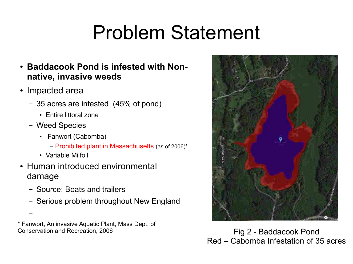### Problem Statement

- **Baddacook Pond is infested with Nonnative, invasive weeds**
- Impacted area
	- 35 acres are infested (45% of pond)
		- Entire littoral zone
	- Weed Species
		- Fanwort (Cabomba)
			- Prohibited plant in Massachusetts (as of 2006)\*
		- Variable Milfoil

–

- Human introduced environmental damage
	- Source: Boats and trailers
	- Serious problem throughout New England

\* Fanwort, An invasive Aquatic Plant, Mass Dept. of Conservation and Recreation, 2006 Fig 2 - Baddacook Pond



Red – Cabomba Infestation of 35 acres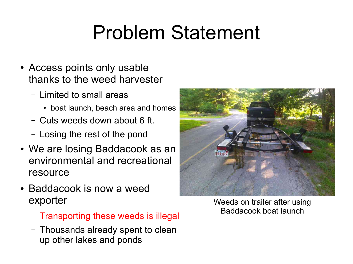### Problem Statement

- Access points only usable thanks to the weed harvester
	- Limited to small areas
		- boat launch, beach area and homes
	- Cuts weeds down about 6 ft.
	- Losing the rest of the pond
- We are losing Baddacook as an environmental and recreational resource
- Baddacook is now a weed exporter
	- Transporting these weeds is illegal
	- Thousands already spent to clean up other lakes and ponds



Weeds on trailer after using Baddacook boat launch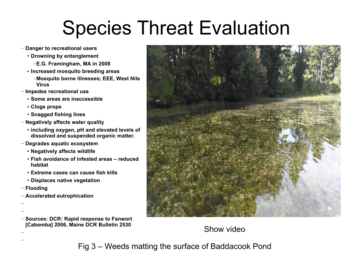### Species Threat Evaluation

- **Danger to recreational users**
	- **Drowning by entanglement**
		- –**E.G. Framingham, MA in 2008**
	- **Increased mosquito breeding areas**
		- –**Mosquito borne illnesses; EEE, West Nile Virus**
- **Impedes recreational use**
	- **Some areas are inaccessible**
	- **Clogs props**
	- **Snagged fishing lines**
- **Negatively affects water quality**
	- **including oxygen, pH and elevated levels of dissolved and suspended organic matter.**
- **Degrades aquatic ecosystem**
	- **Negatively affects wildlife**
	- **Fish avoidance of infested areas reduced habitat**
	- **Extreme cases can cause fish kills**
	- **Displaces native vegetation**
- **Flooding**

– –

– –

– **Accelerated eutrophication**

– **Sources: DCR: Rapid response to Fanwort [Cabomba] 2006, Maine DCR Bulletin 2530**



Show video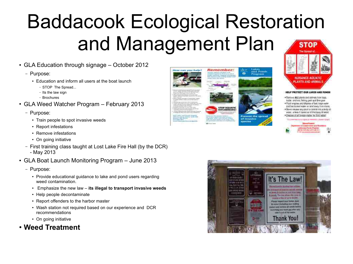## Baddacook Ecological Restoration and Management Plan

- GLA Education through signage October 2012
	- Purpose:
		- Education and inform all users at the boat launch
			- STOP The Spread...
			- Its the law sign
			- Brochures
- GLA Weed Watcher Program February 2013
	- Purpose:
		- Train people to spot invasive weeds
		- Report infestations
		- Remove infestations
		- On going initiative
	- First training class taught at Lost Lake Fire Hall (by the DCR) - May 2013
- GLA Boat Launch Monitoring Program June 2013
	- Purpose:
		- Provide educational quidance to lake and pond users regarding weed contamination.
		- Emphasize the new law **its illegal to transport invasive weeds**
		- Help people decontaminate
		- Report offenders to the harbor master
		- Wash station not required based on our experience and DCR recommendations
		- On going initiative
- **Weed Treatment**









- . Tommi ALE premium and most have been mater, analyzes, here y gear and dree gear.
- . Fluit expires and dispose of bed, tage years
- and her traked states on tend away from those . These steam to port is annual in a bott of
- ware, animals from the rit that boos it water . Cleaning of all families status for field women

| <b>The Country of the Country of the Country of the Country of the Country of the Country of the Country of the Country of the Country of the Country of the Country of the Country of the Country of the Country of the Country</b> |  |  |
|--------------------------------------------------------------------------------------------------------------------------------------------------------------------------------------------------------------------------------------|--|--|
|                                                                                                                                                                                                                                      |  |  |
|                                                                                                                                                                                                                                      |  |  |

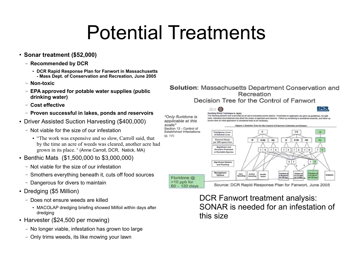### Potential Treatments

scale"

 $(D. 17)$ 

- **Sonar treatment (\$52,000)**
	- **Recommended by DCR**
		- **DCR Rapid Response Plan for Fanwort in Massachusetts - Mass Dept. of Conservation and Recreation, June 2005**
	- **Non-toxic**
	- **EPA approved for potable water supplies (public drinking water)**
	- **Cost effective**
	- **Proven successful in lakes, ponds and reservoirs**
- Driver Assisted Suction Harvesting (\$400,000)
	- Not viable for the size of our infestation
		- "The work was expensive and so slow, Carroll said, that by the time an acre of weeds was cleared, another acre had grown in its place. " (Anne Carroll, DCR, Natick, MA)
- Benthic Mats (\$1,500,000 to \$3,000,000)
	- Not viable for the size of our infestation
	- Smothers everything beneath it, cuts off food sources
	- Dangerous for divers to maintain
- Dredging (\$5 Million)
	- Does not ensure weeds are killed
		- MACOLAP dredging briefing showed Milfoil within days after dredging
- Harvester (\$24,500 per mowing)
	- No longer viable, infestation has grown too large
	- Only trims weeds, its like mowing your lawn

#### Solution: Massachusetts Department Conservation and Recreation Decision Tree for the Control of Fanwort



**Significant Dilution**  $x + y$ and Flushing Managemen **Fluridane g<br>E-10 ppb fo** trictupyr g<br>0.0.2.6 ppm Options Fluridone @  $t$ low  $+1$ >10 ppb for Source: DCR Rapid Response Plan for Fanwort, June 2005  $60 - 120$  days

> DCR Fanwort treatment analysis: SONAR is needed for an infestation of this size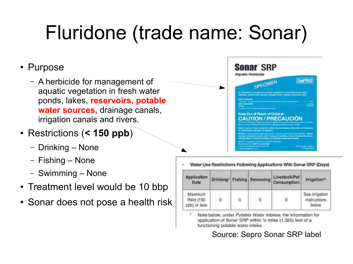# Fluridone (trade name: Sonar)

#### • Purpose

- A herbicide for management of aquatic vegetation in fresh water ponds, lakes, **reservoirs, potable water sources,** drainage canals, irrigation canals and rivers.
- Restrictions (**< 150 ppb**)
	- Drinking None
	- Fishing None
	- Swimming None
- Treatment level would be 10 bbp
- Sonar does not pose a health risk

Water Use Restrictions Following Applications With Sonar SRP (Days)

| Application<br>Rate                         |   |              | Drinking <sup>+</sup> Fishing Swimming | Livestock/Pet<br>Consumption | Irrigation <sup>#</sup>                               |
|---------------------------------------------|---|--------------|----------------------------------------|------------------------------|-------------------------------------------------------|
| Maximum<br><b>Rate (150</b><br>ppb) or less | 0 | $\mathbf{0}$ | $\mathbf 0$                            | 0                            | See irrigation<br><i><b>instructions</b></i><br>below |

Note below, under Potable Water Intakes, the information for application of Sonar SRP within 1/4 miles (1,320) feet of a functioning potable water intake.

Source: Sepro Sonar SRP label

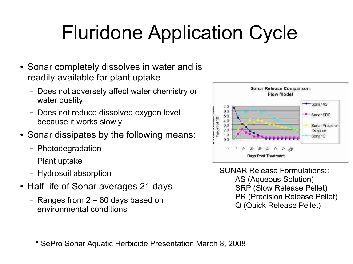## Fluridone Application Cycle

- Sonar completely dissolves in water and is readily available for plant uptake
	- Does not adversely affect water chemistry or water quality
	- Does not reduce dissolved oxygen level because it works slowly
- Sonar dissipates by the following means:
	- Photodegradation
	- Plant uptake
	- Hydrosoil absorption
- Half-life of Sonar averages 21 days
	- Ranges from 2 60 days based on environmental conditions



SONAR Release Formulations:: AS (Aqueous Solution) SRP (Slow Release Pellet) PR (Precision Release Pellet) Q (Quick Release Pellet)

\* SePro Sonar Aquatic Herbicide Presentation March 8, 2008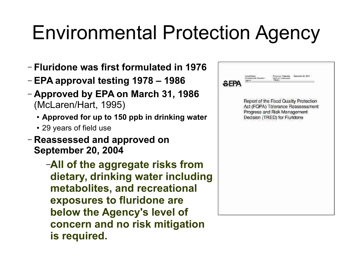### Environmental Protection Agency

- **Fluridone was first formulated in 1976**
- **EPA approval testing 1978 1986**
- **Approved by EPA on March 31, 1986** (McLaren/Hart, 1995)
	- **Approved for up to 150 ppb in drinking water**
	- 29 years of field use
- **Reassessed and approved on September 20, 2004**
	- –**All of the aggregate risks from dietary, drinking water including metabolites, and recreational exposures to fluridone are below the Agency's level of concern and no risk mitigation is required.**

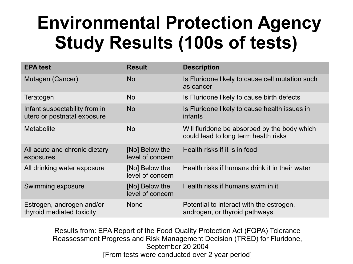#### **Environmental Protection Agency Study Results (100s of tests)**

| <b>EPA test</b>                                              | <b>Result</b>                      | <b>Description</b>                                                                   |
|--------------------------------------------------------------|------------------------------------|--------------------------------------------------------------------------------------|
| Mutagen (Cancer)                                             | <b>No</b>                          | Is Fluridone likely to cause cell mutation such<br>as cancer                         |
| Teratogen                                                    | <b>No</b>                          | Is Fluridone likely to cause birth defects                                           |
| Infant suspectability from in<br>utero or postnatal exposure | <b>No</b>                          | Is Fluridone likely to cause health issues in<br>infants                             |
| <b>Metabolite</b>                                            | <b>No</b>                          | Will fluridone be absorbed by the body which<br>could lead to long term health risks |
| All acute and chronic dietary<br>exposures                   | [No] Below the<br>level of concern | Health risks if it is in food                                                        |
| All drinking water exposure                                  | [No] Below the<br>level of concern | Health risks if humans drink it in their water                                       |
| Swimming exposure                                            | [No] Below the<br>level of concern | Health risks if humans swim in it                                                    |
| Estrogen, androgen and/or<br>thyroid mediated toxicity       | <b>None</b>                        | Potential to interact with the estrogen,<br>androgen, or thyroid pathways.           |

Results from: EPA Report of the Food Quality Protection Act (FQPA) Tolerance Reassessment Progress and Risk Management Decision (TRED) for Fluridone, September 20 2004 [From tests were conducted over 2 year period]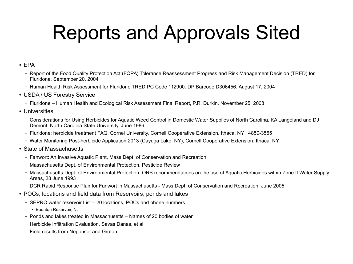## Reports and Approvals Sited

#### $\cdot$  FPA

- Report of the Food Quality Protection Act (FQPA) Tolerance Reassessment Progress and Risk Management Decision (TRED) for Fluridone, September 20, 2004
- Human Health Risk Assessment for Fluridone TRED PC Code 112900. DP Barcode D306456, August 17, 2004
- USDA / US Forestry Service
	- Fluridone Human Health and Ecological Risk Assessment Final Report, P.R. Durkin, November 25, 2008
- Universities
	- Considerations for Using Herbicides for Aquatic Weed Control in Domestic Water Supplies of North Carolina, KA Langeland and DJ Demont, North Carolina State University, June 1986
	- Fluridone: herbicide treatment FAQ, Cornel University, Cornell Cooperative Extension, Ithaca, NY 14850-3555
	- Water Monitoring Post-herbicide Application 2013 (Cayuga Lake, NY), Cornell Cooperative Extension, Ithaca, NY
- State of Massachusetts
	- Fanwort: An Invasive Aquatic Plant, Mass Dept. of Conservation and Recreation
	- Massachusetts Dept. of Environmental Protection, Pesticide Review
	- Massachusetts Dept. of Environmental Protection, ORS recommendations on the use of Aquatic Herbicides within Zone II Water Supply Areas, 28 June 1993
	- DCR Rapid Response Plan for Fanwort in Massachusetts Mass Dept. of Conservation and Recreation, June 2005
- POCs, locations and field data from Reservoirs, ponds and lakes
	- SEPRO water reservoir List 20 locations, POCs and phone numbers
		- Boonton Reservoir, NJ
	- Ponds and lakes treated in Massachusetts Names of 20 bodies of water
	- Herbicide Infiltration Evaluation, Savas Danas, et al
	- Field results from Neponset and Groton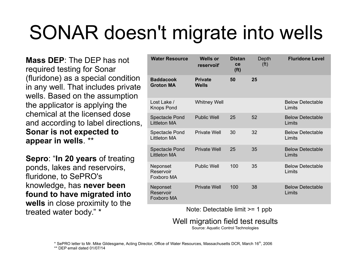# SONAR doesn't migrate into wells

**Mass DEP**: The DEP has not required testing for Sonar (fluridone) as a special condition in any well. That includes private wells. Based on the assumption the applicator is applying the chemical at the licensed dose and according to label directions, **Sonar is not expected to appear in wells**. \*\*

**Sepro**: "**In 20 years** of treating ponds, lakes and reservoirs, fluridone, to SePRO's knowledge, has **never been found to have migrated into wells** in close proximity to the treated water body." \* The Mote: Detectable limit >= 1 ppb

| <b>Water Resource</b>                        | <b>Wells or</b><br>reservoir   | <b>Distan</b><br>ce<br>(f <sup>t</sup> ) | Depth<br>(f <sup>t</sup> ) | <b>Fluridone Level</b>            |
|----------------------------------------------|--------------------------------|------------------------------------------|----------------------------|-----------------------------------|
| <b>Baddacook</b><br><b>Groton MA</b>         | <b>Private</b><br><b>Wells</b> | 50                                       | 25                         |                                   |
| Lost Lake /<br><b>Knops Pond</b>             | <b>Whitney Well</b>            |                                          |                            | <b>Below Detectable</b><br>Limits |
| <b>Spectacle Pond</b><br>Littleton MA        | <b>Public Well</b>             | 25                                       | 52                         | <b>Below Detectable</b><br>Limits |
| Spectacle Pond<br><b>Littleton MA</b>        | <b>Private Well</b>            | 30                                       | 32                         | <b>Below Detectable</b><br>Limits |
| <b>Spectacle Pond</b><br><b>Littleton MA</b> | <b>Private Well</b>            | 25                                       | 35                         | <b>Below Detectable</b><br>Limits |
| Neponset<br>Reservoir<br>Foxboro MA          | <b>Public Well</b>             | 100                                      | 35                         | <b>Below Detectable</b><br>Limits |
| Neponset<br>Reservoir<br>Foxboro MA          | <b>Private Well</b>            | 100                                      | 38                         | <b>Below Detectable</b><br>Limits |

Well migration field test results

Source: Aquatic Control Technologies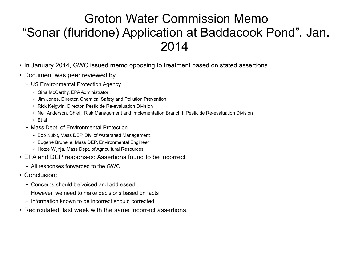#### Groton Water Commission Memo "Sonar (fluridone) Application at Baddacook Pond", Jan. 2014

- In January 2014, GWC issued memo opposing to treatment based on stated assertions
- Document was peer reviewed by
	- US Environmental Protection Agency
		- Gina McCarthy, EPA Administrator
		- Jim Jones, Director, Chemical Safety and Pollution Prevention
		- Rick Keigwin, Director, Pesticide Re-evaluation Division
		- Neil Anderson, Chief, Risk Management and Implementation Branch I, Pesticide Re-evaluation Division
		- $\cdot$  Et al
	- Mass Dept. of Environmental Protection
		- Bob Kubit, Mass DEP, Div. of Watershed Management
		- Eugene Brunelle, Mass DEP, Environmental Engineer
		- Hotze Wijnja, Mass Dept. of Agricultural Resources
- EPA and DEP responses: Assertions found to be incorrect
	- All responses forwarded to the GWC
- Conclusion:
	- Concerns should be voiced and addressed
	- However, we need to make decisions based on facts
	- Information known to be incorrect should corrected
- Recirculated, last week with the same incorrect assertions.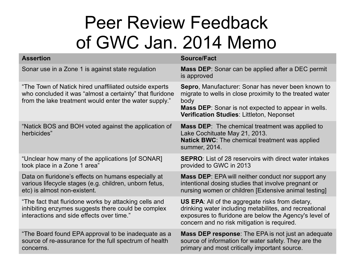#### Peer Review Feedback of GWC Jan. 2014 Memo

| <b>Assertion</b>                                                                                                                                                             | <b>Source/Fact</b>                                                                                                                                                                                                                       |
|------------------------------------------------------------------------------------------------------------------------------------------------------------------------------|------------------------------------------------------------------------------------------------------------------------------------------------------------------------------------------------------------------------------------------|
| Sonar use in a Zone 1 is against state regulation                                                                                                                            | <b>Mass DEP:</b> Sonar can be applied after a DEC permit<br>is approved                                                                                                                                                                  |
| "The Town of Natick hired unaffiliated outside experts<br>who concluded it was "almost a certainty" that fluridone<br>from the lake treatment would enter the water supply." | Sepro, Manufacturer: Sonar has never been known to<br>migrate to wells in close proximity to the treated water<br>body<br><b>Mass DEP:</b> Sonar is not expected to appear in wells.<br><b>Verification Studies: Littleton, Neponset</b> |
| "Natick BOS and BOH voted against the application of<br>herbicides"                                                                                                          | <b>Mass DEP:</b> The chemical treatment was applied to<br>Lake Cochituate May 21, 2013.<br><b>Natick BWC:</b> The chemical treatment was applied<br>summer, 2014.                                                                        |
| "Unclear how many of the applications [of SONAR]<br>took place in a Zone 1 area"                                                                                             | <b>SEPRO:</b> List of 28 reservoirs with direct water intakes<br>provided to GWC in 2013                                                                                                                                                 |
| Data on fluridone's effects on humans especially at<br>various lifecycle stages (e.g. children, unborn fetus,<br>etc) is almost non-existent.                                | <b>Mass DEP:</b> EPA will neither conduct nor support any<br>intentional dosing studies that involve pregnant or<br>nursing women or children [Extensive animal testing]                                                                 |
| "The fact that fluridone works by attacking cells and<br>inhibiting enzymes suggests there could be complex<br>interactions and side effects over time."                     | <b>US EPA:</b> All of the aggregate risks from dietary,<br>drinking water including metabilites, and recreational<br>exposures to fluridone are below the Agency's level of<br>concern and no risk mitigation is required.               |
| "The Board found EPA approval to be inadequate as a<br>source of re-assurance for the full spectrum of health<br>concerns.                                                   | <b>Mass DEP response:</b> The EPA is not just an adequate<br>source of information for water safety. They are the<br>primary and most critically important source.                                                                       |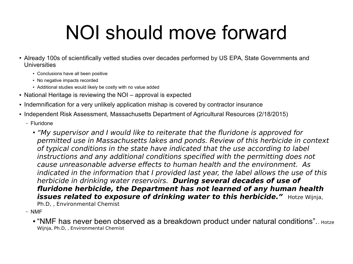### NOI should move forward

- Already 100s of scientifically vetted studies over decades performed by US EPA, State Governments and Universities
	- Conclusions have all been positive
	- No negative impacts recorded
	- Additional studies would likely be costly with no value added
- National Heritage is reviewing the NOI approval is expected
- Indemnification for a very unlikely application mishap is covered by contractor insurance
- Independent Risk Assessment, Massachusetts Department of Agricultural Resources (2/18/2015)
	- Fluridone
		- "My supervisor and I would like to reiterate that the fluridone is approved for permitted use in Massachusetts lakes and ponds. Review of this herbicide in context of typical conditions in the state have indicated that the use according to label instructions and any additional conditions specified with the permitting does not cause unreasonable adverse effects to human health and the environment. As indicated in the information that I provided last year, the label allows the use of this herbicide in drinking water reservoirs. **During several decades of use of fluridone herbicide, the Department has not learned of any human health issues related to exposure of drinking water to this herbicide."** Hotze Wijnja, Ph.D, , Environmental Chemist

– NMF

• "NMF has never been observed as a breakdown product under natural conditions".. Hotze Wijnja, Ph.D, , Environmental Chemist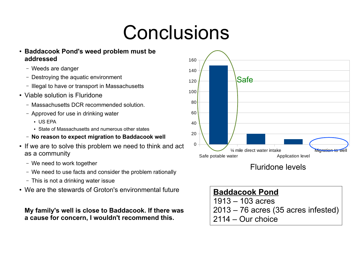### Conclusions

- **Baddacook Pond's weed problem must be addressed**
	- Weeds are danger
	- Destroying the aquatic environment
	- Illegal to have or transport in Massachusetts
- Viable solution is Fluridone
	- Massachusetts DCR recommended solution.
	- Approved for use in drinking water
		- $\cdot$  US FPA
		- State of Massachusetts and numerous other states
	- **No reason to expect migration to Baddacook well**
- If we are to solve this problem we need to think and act as a community
	- We need to work together
	- We need to use facts and consider the problem rationally
	- This is not a drinking water issue
- We are the stewards of Groton's environmental future

#### **My family's well is close to Baddacook. If there was a cause for concern, I wouldn't recommend this.**



Fluridone levels

| <b>Baddacook Pond</b>                 |
|---------------------------------------|
| $1913 - 103$ acres                    |
| $2013 - 76$ acres (35 acres infested) |
| $\vert$ 2114 – Our choice             |